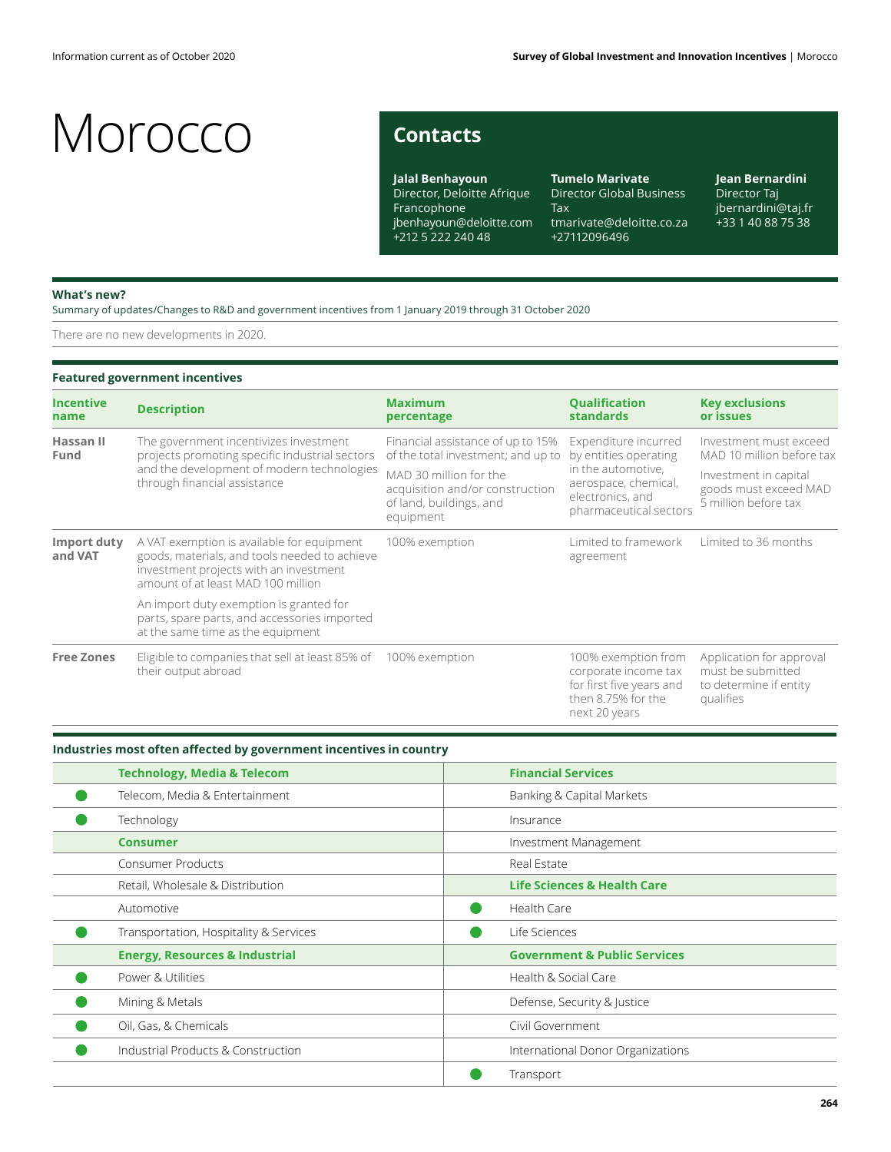# **Morocco**

### **Contacts**

**Jalal Benhayoun** Director, Deloitte Afrique Francophone jbenhayoun@deloitte.com +212 5 222 240 48

**Tumelo Marivate**  Director Global Business Tax tmarivate@deloitte.co.za +27112096496

**Jean Bernardini** Director Taj jbernardini@taj.fr +33 1 40 88 75 38

#### **What's new?**

Summary of updates/Changes to R&D and government incentives from 1 January 2019 through 31 October 2020

There are no new developments in 2020.

#### **Featured government incentives**

| <b>Incentive</b><br>name | <b>Description</b>                                                                                                                                                          | <b>Maximum</b><br>percentage                                                                      | <b>Qualification</b><br><b>standards</b>                                                                       | <b>Key exclusions</b><br>or issues                                                   |
|--------------------------|-----------------------------------------------------------------------------------------------------------------------------------------------------------------------------|---------------------------------------------------------------------------------------------------|----------------------------------------------------------------------------------------------------------------|--------------------------------------------------------------------------------------|
| Hassan II<br>Fund        | The government incentivizes investment<br>projects promoting specific industrial sectors                                                                                    | Financial assistance of up to 15%<br>of the total investment; and up to                           | Expenditure incurred<br>by entities operating                                                                  | Investment must exceed<br>MAD 10 million before tax                                  |
|                          | and the development of modern technologies<br>through financial assistance                                                                                                  | MAD 30 million for the<br>acquisition and/or construction<br>of land, buildings, and<br>equipment | in the automotive,<br>aerospace, chemical,<br>electronics, and<br>pharmaceutical sectors                       | Investment in capital<br>goods must exceed MAD<br>5 million before tax               |
| Import duty<br>and VAT   | A VAT exemption is available for equipment<br>goods, materials, and tools needed to achieve<br>investment projects with an investment<br>amount of at least MAD 100 million | 100% exemption                                                                                    | Limited to framework<br>agreement                                                                              | Limited to 36 months                                                                 |
|                          | An import duty exemption is granted for<br>parts, spare parts, and accessories imported<br>at the same time as the equipment                                                |                                                                                                   |                                                                                                                |                                                                                      |
| <b>Free Zones</b>        | Eligible to companies that sell at least 85% of<br>their output abroad                                                                                                      | 100% exemption                                                                                    | 100% exemption from<br>corporate income tax<br>for first five years and<br>then 8.75% for the<br>next 20 years | Application for approval<br>must be submitted<br>to determine if entity<br>qualifies |

#### **Industries most often affected by government incentives in country**

| <b>Financial Services</b>               |
|-----------------------------------------|
| Banking & Capital Markets               |
| Insurance                               |
| Investment Management                   |
| Real Estate                             |
| <b>Life Sciences &amp; Health Care</b>  |
| Health Care                             |
| Life Sciences                           |
| <b>Government &amp; Public Services</b> |
| Health & Social Care                    |
| Defense, Security & Justice             |
| Civil Government                        |
| International Donor Organizations       |
| Transport                               |
|                                         |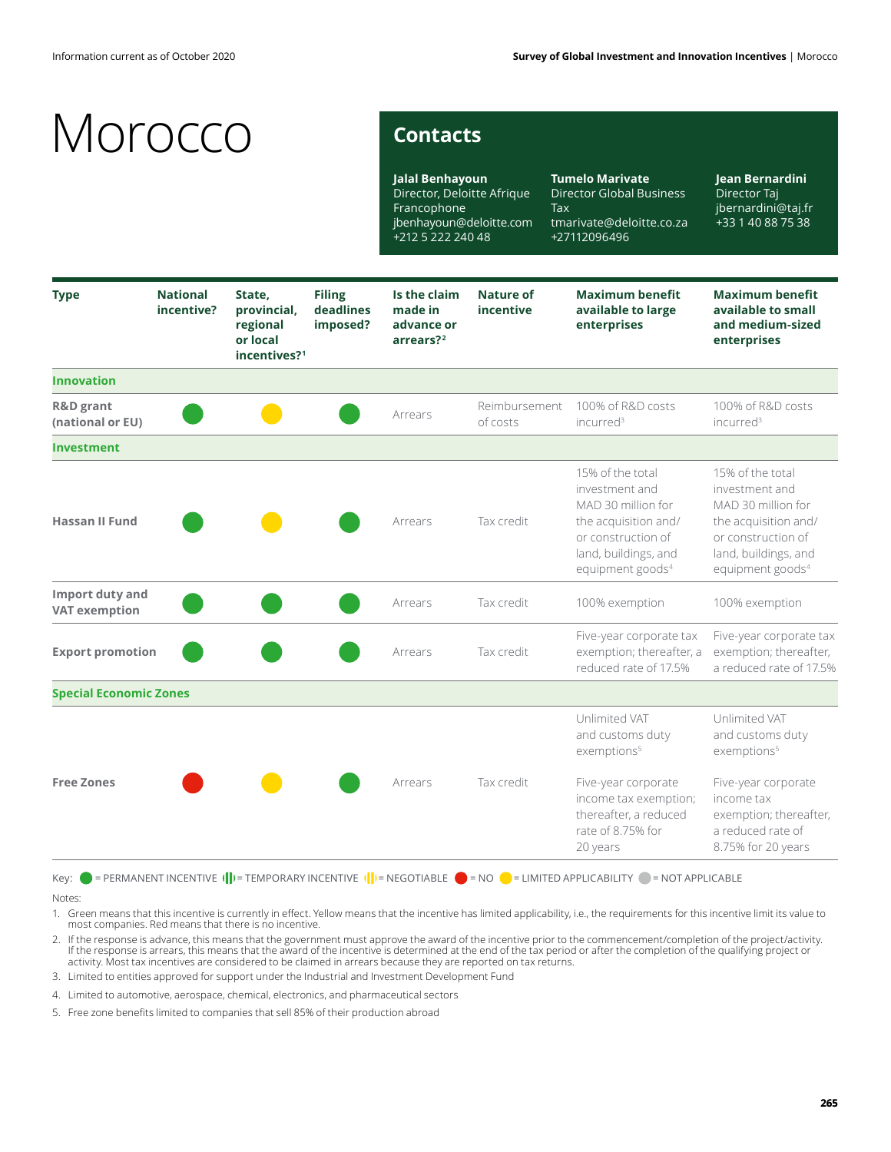## **Morocco**

## **Contacts**

**Jalal Benhayoun** Director, Deloitte Afrique Francophone jbenhayoun@deloitte.com +212 5 222 240 48

**Tumelo Marivate**  Director Global Business Tax tmarivate@deloitte.co.za +27112096496

**Jean Bernardini** Director Taj jbernardini@taj.fr +33 1 40 88 75 38

| <b>Type</b>                              | <b>National</b><br>incentive? | State.<br>provincial,<br>regional<br>or local<br>incentives? <sup>1</sup> | <b>Filing</b><br>deadlines<br>imposed? | Is the claim<br>made in<br>advance or<br>arrears? <sup>2</sup> | <b>Nature of</b><br>incentive | <b>Maximum benefit</b><br>available to large<br>enterprises                                                                                                    | <b>Maximum benefit</b><br>available to small<br>and medium-sized<br>enterprises                                                                                |
|------------------------------------------|-------------------------------|---------------------------------------------------------------------------|----------------------------------------|----------------------------------------------------------------|-------------------------------|----------------------------------------------------------------------------------------------------------------------------------------------------------------|----------------------------------------------------------------------------------------------------------------------------------------------------------------|
| <b>Innovation</b>                        |                               |                                                                           |                                        |                                                                |                               |                                                                                                                                                                |                                                                                                                                                                |
| <b>R&amp;D</b> grant<br>(national or EU) |                               |                                                                           |                                        | Arrears                                                        | Reimbursement<br>of costs     | 100% of R&D costs<br>incurred <sup>3</sup>                                                                                                                     | 100% of R&D costs<br>incurred <sup>3</sup>                                                                                                                     |
| <b>Investment</b>                        |                               |                                                                           |                                        |                                                                |                               |                                                                                                                                                                |                                                                                                                                                                |
| <b>Hassan II Fund</b>                    |                               |                                                                           |                                        | Arrears                                                        | Tax credit                    | 15% of the total<br>investment and<br>MAD 30 million for<br>the acquisition and/<br>or construction of<br>land, buildings, and<br>equipment goods <sup>4</sup> | 15% of the total<br>investment and<br>MAD 30 million for<br>the acquisition and/<br>or construction of<br>land, buildings, and<br>equipment goods <sup>4</sup> |
| Import duty and<br><b>VAT exemption</b>  |                               |                                                                           |                                        | Arrears                                                        | Tax credit                    | 100% exemption                                                                                                                                                 | 100% exemption                                                                                                                                                 |
| <b>Export promotion</b>                  |                               |                                                                           |                                        | Arrears                                                        | Tax credit                    | Five-year corporate tax<br>exemption; thereafter, a<br>reduced rate of 17.5%                                                                                   | Five-year corporate tax<br>exemption; thereafter,<br>a reduced rate of 17.5%                                                                                   |
| <b>Special Economic Zones</b>            |                               |                                                                           |                                        |                                                                |                               |                                                                                                                                                                |                                                                                                                                                                |
|                                          |                               |                                                                           |                                        |                                                                |                               | Unlimited VAT<br>and customs duty<br>exemptions <sup>5</sup>                                                                                                   | Unlimited VAT<br>and customs duty<br>exemptions <sup>5</sup>                                                                                                   |
| <b>Free Zones</b>                        |                               |                                                                           |                                        | Arrears                                                        | Tax credit                    | Five-year corporate<br>income tax exemption;<br>thereafter, a reduced<br>rate of 8.75% for<br>20 years                                                         | Five-year corporate<br>income tax<br>exemption; thereafter,<br>a reduced rate of<br>8.75% for 20 years                                                         |

Notes:

1. Green means that this incentive is currently in effect. Yellow means that the incentive has limited applicability, i.e., the requirements for this incentive limit its value to most companies. Red means that there is no incentive.

2. If the response is advance, this means that the government must approve the award of the incentive prior to the commencement/completion of the project/activity. If the response is arrears, this means that the award of the incentive is determined at the end of the tax period or after the completion of the qualifying project or activity. Most tax incentives are considered to be claimed in arrears because they are reported on tax returns.

3. Limited to entities approved for support under the Industrial and Investment Development Fund

4. Limited to automotive, aerospace, chemical, electronics, and pharmaceutical sectors

5. Free zone benefits limited to companies that sell 85% of their production abroad